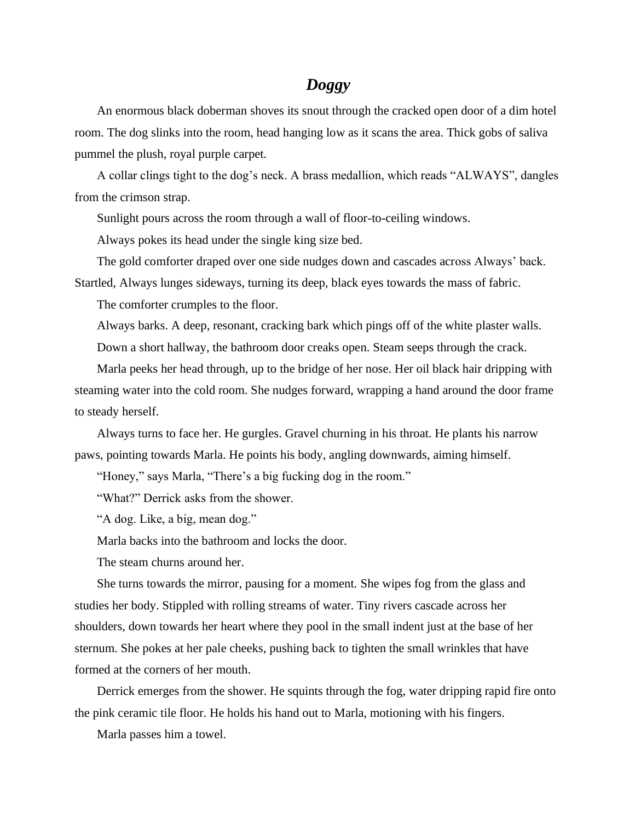## *Doggy*

An enormous black doberman shoves its snout through the cracked open door of a dim hotel room. The dog slinks into the room, head hanging low as it scans the area. Thick gobs of saliva pummel the plush, royal purple carpet.

A collar clings tight to the dog's neck. A brass medallion, which reads "ALWAYS", dangles from the crimson strap.

Sunlight pours across the room through a wall of floor-to-ceiling windows.

Always pokes its head under the single king size bed.

The gold comforter draped over one side nudges down and cascades across Always' back.

Startled, Always lunges sideways, turning its deep, black eyes towards the mass of fabric.

The comforter crumples to the floor.

Always barks. A deep, resonant, cracking bark which pings off of the white plaster walls.

Down a short hallway, the bathroom door creaks open. Steam seeps through the crack.

Marla peeks her head through, up to the bridge of her nose. Her oil black hair dripping with steaming water into the cold room. She nudges forward, wrapping a hand around the door frame to steady herself.

Always turns to face her. He gurgles. Gravel churning in his throat. He plants his narrow paws, pointing towards Marla. He points his body, angling downwards, aiming himself.

"Honey," says Marla, "There's a big fucking dog in the room."

"What?" Derrick asks from the shower.

"A dog. Like, a big, mean dog."

Marla backs into the bathroom and locks the door.

The steam churns around her.

She turns towards the mirror, pausing for a moment. She wipes fog from the glass and studies her body. Stippled with rolling streams of water. Tiny rivers cascade across her shoulders, down towards her heart where they pool in the small indent just at the base of her sternum. She pokes at her pale cheeks, pushing back to tighten the small wrinkles that have formed at the corners of her mouth.

Derrick emerges from the shower. He squints through the fog, water dripping rapid fire onto the pink ceramic tile floor. He holds his hand out to Marla, motioning with his fingers.

Marla passes him a towel.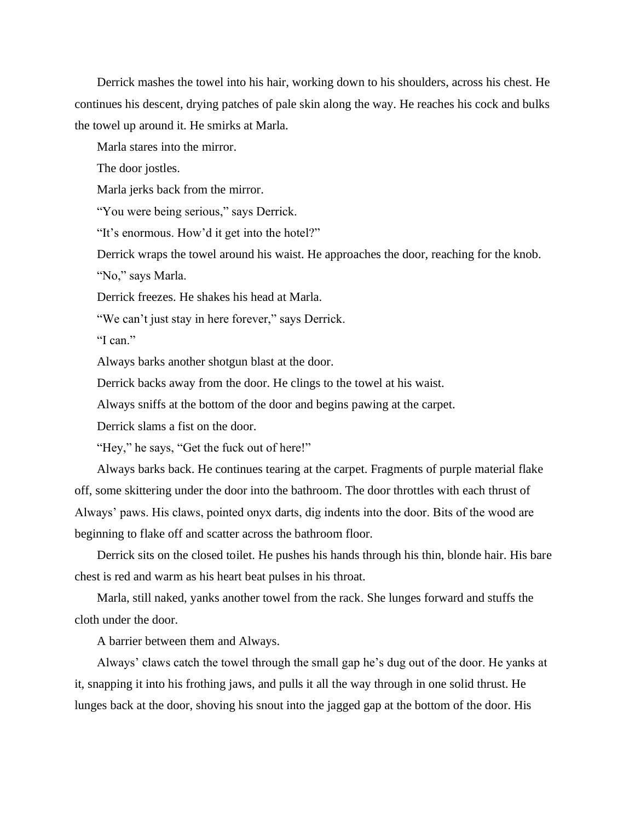Derrick mashes the towel into his hair, working down to his shoulders, across his chest. He continues his descent, drying patches of pale skin along the way. He reaches his cock and bulks the towel up around it. He smirks at Marla.

Marla stares into the mirror.

The door jostles.

Marla jerks back from the mirror.

"You were being serious," says Derrick.

"It's enormous. How'd it get into the hotel?"

Derrick wraps the towel around his waist. He approaches the door, reaching for the knob.

"No," says Marla.

Derrick freezes. He shakes his head at Marla.

"We can't just stay in here forever," says Derrick.

"I can."

Always barks another shotgun blast at the door.

Derrick backs away from the door. He clings to the towel at his waist.

Always sniffs at the bottom of the door and begins pawing at the carpet.

Derrick slams a fist on the door.

"Hey," he says, "Get the fuck out of here!"

Always barks back. He continues tearing at the carpet. Fragments of purple material flake off, some skittering under the door into the bathroom. The door throttles with each thrust of Always' paws. His claws, pointed onyx darts, dig indents into the door. Bits of the wood are beginning to flake off and scatter across the bathroom floor.

Derrick sits on the closed toilet. He pushes his hands through his thin, blonde hair. His bare chest is red and warm as his heart beat pulses in his throat.

Marla, still naked, yanks another towel from the rack. She lunges forward and stuffs the cloth under the door.

A barrier between them and Always.

Always' claws catch the towel through the small gap he's dug out of the door. He yanks at it, snapping it into his frothing jaws, and pulls it all the way through in one solid thrust. He lunges back at the door, shoving his snout into the jagged gap at the bottom of the door. His